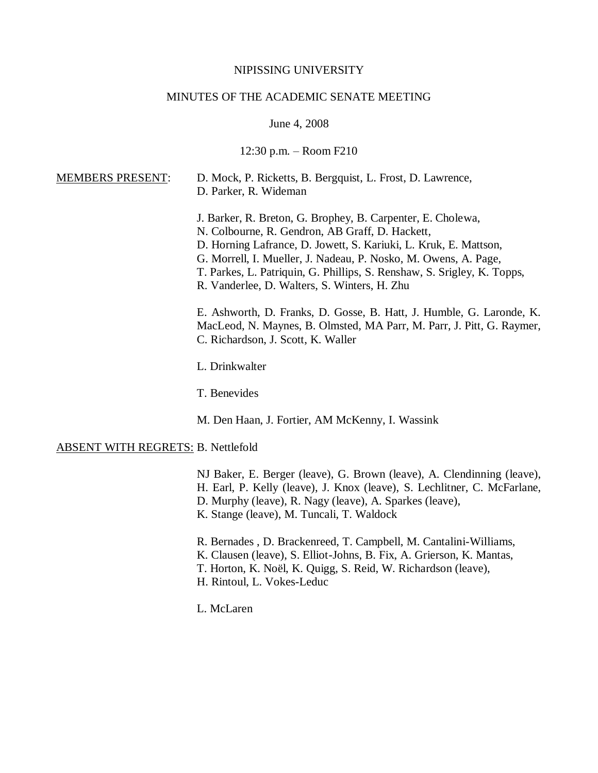#### NIPISSING UNIVERSITY

## MINUTES OF THE ACADEMIC SENATE MEETING

#### June 4, 2008

12:30 p.m. – Room F210

| <b>MEMBERS PRESENT:</b> | D. Mock, P. Ricketts, B. Bergquist, L. Frost, D. Lawrence,                                                                                                                          |
|-------------------------|-------------------------------------------------------------------------------------------------------------------------------------------------------------------------------------|
|                         | D. Parker, R. Wideman                                                                                                                                                               |
|                         | J. Barker, R. Breton, G. Brophey, B. Carpenter, E. Cholewa,                                                                                                                         |
|                         | N. Colbourne, R. Gendron, AB Graff, D. Hackett,                                                                                                                                     |
|                         | D. Horning Lafrance, D. Jowett, S. Kariuki, L. Kruk, E. Mattson,                                                                                                                    |
|                         | G. Morrell, I. Mueller, J. Nadeau, P. Nosko, M. Owens, A. Page,                                                                                                                     |
|                         | T. Parkes, L. Patriquin, G. Phillips, S. Renshaw, S. Srigley, K. Topps,                                                                                                             |
|                         | R. Vanderlee, D. Walters, S. Winters, H. Zhu                                                                                                                                        |
|                         | E. Ashworth, D. Franks, D. Gosse, B. Hatt, J. Humble, G. Laronde, K.<br>MacLeod, N. Maynes, B. Olmsted, MA Parr, M. Parr, J. Pitt, G. Raymer,<br>C. Richardson, J. Scott, K. Waller |
|                         | L. Drinkwalter                                                                                                                                                                      |

T. Benevides

M. Den Haan, J. Fortier, AM McKenny, I. Wassink

### ABSENT WITH REGRETS: B. Nettlefold

- NJ Baker, E. Berger (leave), G. Brown (leave), A. Clendinning (leave),
- H. Earl, P. Kelly (leave), J. Knox (leave), S. Lechlitner, C. McFarlane,
- D. Murphy (leave), R. Nagy (leave), A. Sparkes (leave),

K. Stange (leave), M. Tuncali, T. Waldock

- R. Bernades , D. Brackenreed, T. Campbell, M. Cantalini-Williams,
- K. Clausen (leave), S. Elliot-Johns, B. Fix, A. Grierson, K. Mantas,
- T. Horton, K. Noël, K. Quigg, S. Reid, W. Richardson (leave),
- H. Rintoul, L. Vokes-Leduc

L. McLaren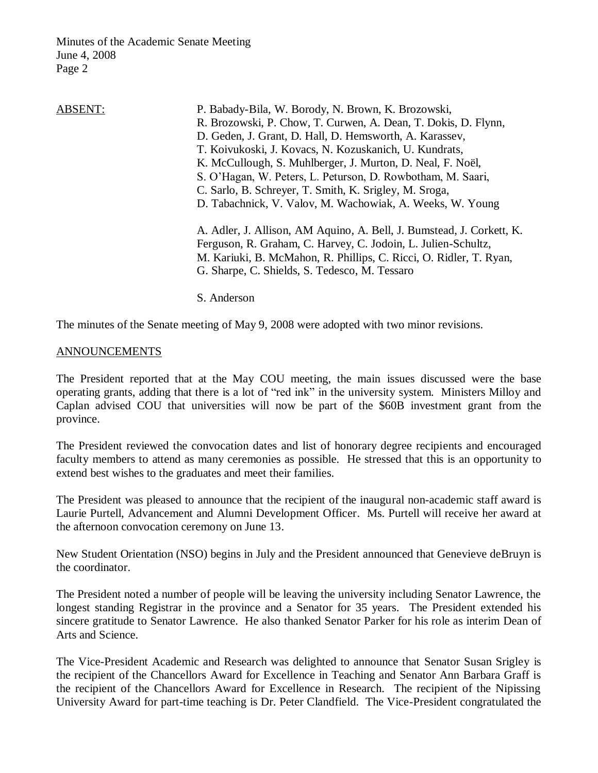| <b>ABSENT:</b> | P. Babady-Bila, W. Borody, N. Brown, K. Brozowski,                                                                                     |
|----------------|----------------------------------------------------------------------------------------------------------------------------------------|
|                | R. Brozowski, P. Chow, T. Curwen, A. Dean, T. Dokis, D. Flynn,                                                                         |
|                | D. Geden, J. Grant, D. Hall, D. Hemsworth, A. Karassev,                                                                                |
|                | T. Koivukoski, J. Kovacs, N. Kozuskanich, U. Kundrats,                                                                                 |
|                | K. McCullough, S. Muhlberger, J. Murton, D. Neal, F. Noël,                                                                             |
|                | S. O'Hagan, W. Peters, L. Peturson, D. Rowbotham, M. Saari,                                                                            |
|                | C. Sarlo, B. Schreyer, T. Smith, K. Srigley, M. Sroga,                                                                                 |
|                | D. Tabachnick, V. Valov, M. Wachowiak, A. Weeks, W. Young                                                                              |
|                | A. Adler, J. Allison, AM Aquino, A. Bell, J. Bumstead, J. Corkett, K.<br>Ferguson, R. Graham, C. Harvey, C. Jodoin, L. Julien-Schultz, |
|                | M. Kariuki, B. McMahon, R. Phillips, C. Ricci, O. Ridler, T. Ryan,                                                                     |
|                | G. Sharpe, C. Shields, S. Tedesco, M. Tessaro                                                                                          |
|                | S. Anderson                                                                                                                            |

The minutes of the Senate meeting of May 9, 2008 were adopted with two minor revisions.

### ANNOUNCEMENTS

The President reported that at the May COU meeting, the main issues discussed were the base operating grants, adding that there is a lot of "red ink" in the university system. Ministers Milloy and Caplan advised COU that universities will now be part of the \$60B investment grant from the province.

The President reviewed the convocation dates and list of honorary degree recipients and encouraged faculty members to attend as many ceremonies as possible. He stressed that this is an opportunity to extend best wishes to the graduates and meet their families.

The President was pleased to announce that the recipient of the inaugural non-academic staff award is Laurie Purtell, Advancement and Alumni Development Officer. Ms. Purtell will receive her award at the afternoon convocation ceremony on June 13.

New Student Orientation (NSO) begins in July and the President announced that Genevieve deBruyn is the coordinator.

The President noted a number of people will be leaving the university including Senator Lawrence, the longest standing Registrar in the province and a Senator for 35 years. The President extended his sincere gratitude to Senator Lawrence. He also thanked Senator Parker for his role as interim Dean of Arts and Science.

The Vice-President Academic and Research was delighted to announce that Senator Susan Srigley is the recipient of the Chancellors Award for Excellence in Teaching and Senator Ann Barbara Graff is the recipient of the Chancellors Award for Excellence in Research. The recipient of the Nipissing University Award for part-time teaching is Dr. Peter Clandfield. The Vice-President congratulated the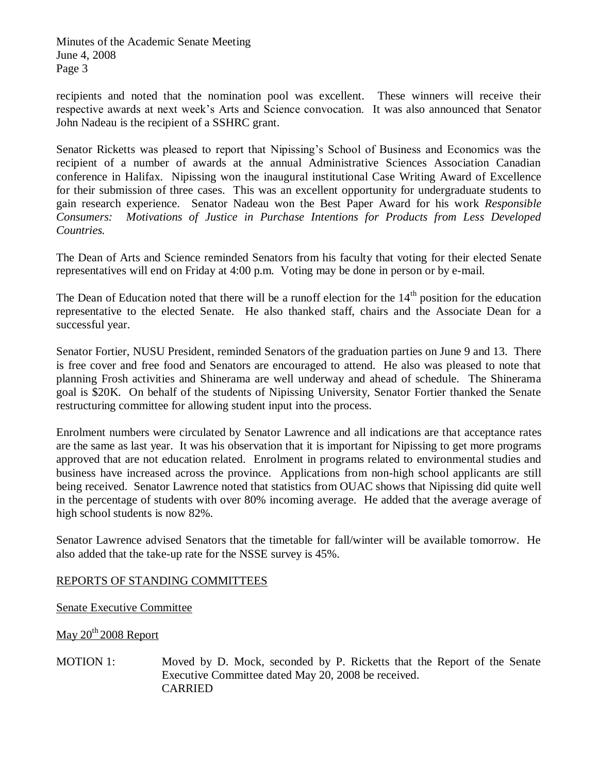recipients and noted that the nomination pool was excellent. These winners will receive their respective awards at next week's Arts and Science convocation. It was also announced that Senator John Nadeau is the recipient of a SSHRC grant.

Senator Ricketts was pleased to report that Nipissing's School of Business and Economics was the recipient of a number of awards at the annual Administrative Sciences Association Canadian conference in Halifax. Nipissing won the inaugural institutional Case Writing Award of Excellence for their submission of three cases. This was an excellent opportunity for undergraduate students to gain research experience. Senator Nadeau won the Best Paper Award for his work *Responsible Consumers: Motivations of Justice in Purchase Intentions for Products from Less Developed Countries.*

The Dean of Arts and Science reminded Senators from his faculty that voting for their elected Senate representatives will end on Friday at 4:00 p.m. Voting may be done in person or by e-mail.

The Dean of Education noted that there will be a runoff election for the 14<sup>th</sup> position for the education representative to the elected Senate. He also thanked staff, chairs and the Associate Dean for a successful year.

Senator Fortier, NUSU President, reminded Senators of the graduation parties on June 9 and 13. There is free cover and free food and Senators are encouraged to attend. He also was pleased to note that planning Frosh activities and Shinerama are well underway and ahead of schedule. The Shinerama goal is \$20K. On behalf of the students of Nipissing University, Senator Fortier thanked the Senate restructuring committee for allowing student input into the process.

Enrolment numbers were circulated by Senator Lawrence and all indications are that acceptance rates are the same as last year. It was his observation that it is important for Nipissing to get more programs approved that are not education related. Enrolment in programs related to environmental studies and business have increased across the province. Applications from non-high school applicants are still being received. Senator Lawrence noted that statistics from OUAC shows that Nipissing did quite well in the percentage of students with over 80% incoming average. He added that the average average of high school students is now 82%.

Senator Lawrence advised Senators that the timetable for fall/winter will be available tomorrow. He also added that the take-up rate for the NSSE survey is 45%.

# REPORTS OF STANDING COMMITTEES

Senate Executive Committee

May  $20^{th}$  2008 Report

MOTION 1: Moved by D. Mock, seconded by P. Ricketts that the Report of the Senate Executive Committee dated May 20, 2008 be received. CARRIED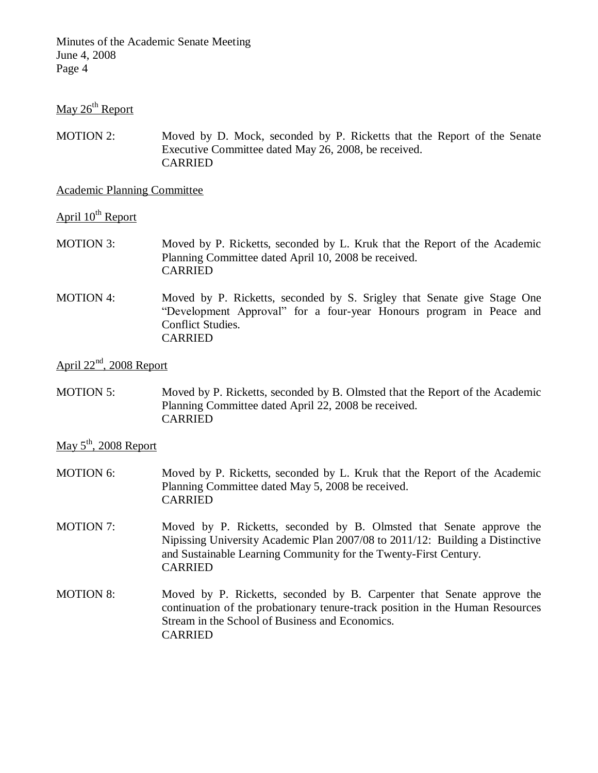# $M$ ay  $26<sup>th</sup>$  Report

MOTION 2: Moved by D. Mock, seconded by P. Ricketts that the Report of the Senate Executive Committee dated May 26, 2008, be received. CARRIED

### Academic Planning Committee

April  $10^{th}$  Report

- MOTION 3: Moved by P. Ricketts, seconded by L. Kruk that the Report of the Academic Planning Committee dated April 10, 2008 be received. CARRIED
- MOTION 4: Moved by P. Ricketts, seconded by S. Srigley that Senate give Stage One "Development Approval" for a four-year Honours program in Peace and Conflict Studies. CARRIED

# April  $22<sup>nd</sup>$ , 2008 Report

MOTION 5: Moved by P. Ricketts, seconded by B. Olmsted that the Report of the Academic Planning Committee dated April 22, 2008 be received. CARRIED

# May 5<sup>th</sup>, 2008 Report

- MOTION 6: Moved by P. Ricketts, seconded by L. Kruk that the Report of the Academic Planning Committee dated May 5, 2008 be received. CARRIED MOTION 7: Moved by P. Ricketts, seconded by B. Olmsted that Senate approve the Nipissing University Academic Plan 2007/08 to 2011/12: Building a Distinctive and Sustainable Learning Community for the Twenty-First Century. CARRIED
- MOTION 8: Moved by P. Ricketts, seconded by B. Carpenter that Senate approve the continuation of the probationary tenure-track position in the Human Resources Stream in the School of Business and Economics. CARRIED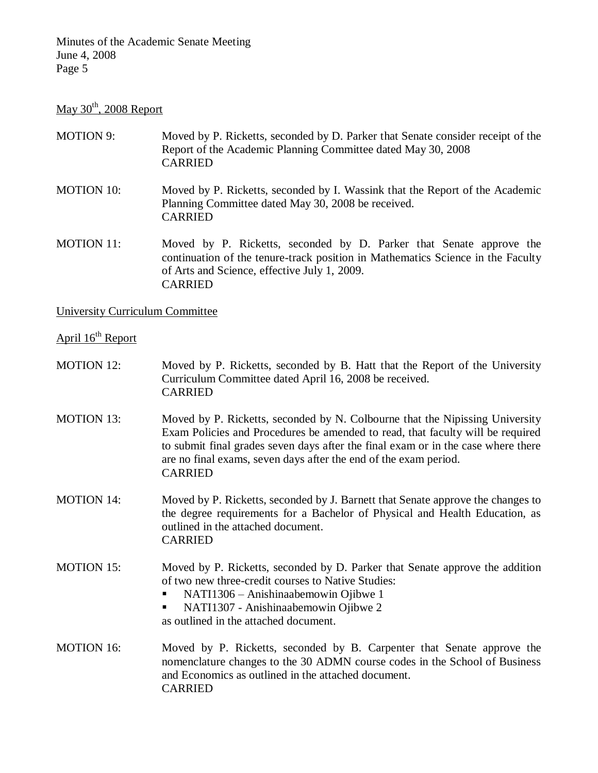# May  $30<sup>th</sup>$ , 2008 Report

- MOTION 9: Moved by P. Ricketts, seconded by D. Parker that Senate consider receipt of the Report of the Academic Planning Committee dated May 30, 2008 CARRIED
- MOTION 10: Moved by P. Ricketts, seconded by I. Wassink that the Report of the Academic Planning Committee dated May 30, 2008 be received. CARRIED
- MOTION 11: Moved by P. Ricketts, seconded by D. Parker that Senate approve the continuation of the tenure-track position in Mathematics Science in the Faculty of Arts and Science, effective July 1, 2009. CARRIED

### University Curriculum Committee

- April 16<sup>th</sup> Report
- MOTION 12: Moved by P. Ricketts, seconded by B. Hatt that the Report of the University Curriculum Committee dated April 16, 2008 be received. CARRIED
- MOTION 13: Moved by P. Ricketts, seconded by N. Colbourne that the Nipissing University Exam Policies and Procedures be amended to read, that faculty will be required to submit final grades seven days after the final exam or in the case where there are no final exams, seven days after the end of the exam period. CARRIED
- MOTION 14: Moved by P. Ricketts, seconded by J. Barnett that Senate approve the changes to the degree requirements for a Bachelor of Physical and Health Education, as outlined in the attached document. CARRIED
- MOTION 15: Moved by P. Ricketts, seconded by D. Parker that Senate approve the addition of two new three-credit courses to Native Studies:
	- NATI1306 Anishinaabemowin Ojibwe 1
	- NATI1307 Anishinaabemowin Ojibwe 2

as outlined in the attached document.

MOTION 16: Moved by P. Ricketts, seconded by B. Carpenter that Senate approve the nomenclature changes to the 30 ADMN course codes in the School of Business and Economics as outlined in the attached document. CARRIED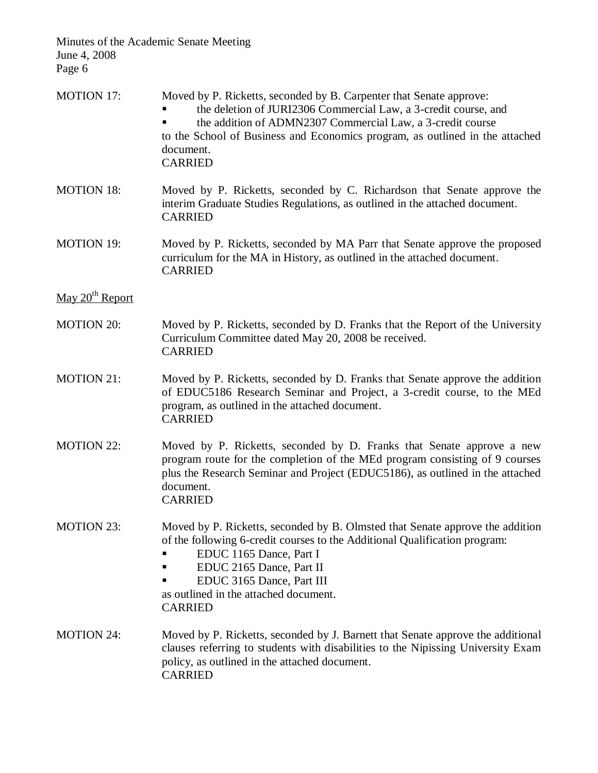Minutes of the Academic Senate Meeting June 4, 2008 Page 6 MOTION 17: Moved by P. Ricketts, seconded by B. Carpenter that Senate approve: the deletion of JURI2306 Commercial Law, a 3-credit course, and the addition of ADMN2307 Commercial Law, a 3-credit course to the School of Business and Economics program, as outlined in the attached document. CARRIED MOTION 18: Moved by P. Ricketts, seconded by C. Richardson that Senate approve the interim Graduate Studies Regulations, as outlined in the attached document. CARRIED MOTION 19: Moved by P. Ricketts, seconded by MA Parr that Senate approve the proposed curriculum for the MA in History, as outlined in the attached document. CARRIED May  $20<sup>th</sup>$  Report MOTION 20: Moved by P. Ricketts, seconded by D. Franks that the Report of the University Curriculum Committee dated May 20, 2008 be received. CARRIED MOTION 21: Moved by P. Ricketts, seconded by D. Franks that Senate approve the addition of EDUC5186 Research Seminar and Project, a 3-credit course, to the MEd program, as outlined in the attached document. CARRIED MOTION 22: Moved by P. Ricketts, seconded by D. Franks that Senate approve a new program route for the completion of the MEd program consisting of 9 courses plus the Research Seminar and Project (EDUC5186), as outlined in the attached document. CARRIED MOTION 23: Moved by P. Ricketts, seconded by B. Olmsted that Senate approve the addition of the following 6-credit courses to the Additional Qualification program: **EDUC** 1165 Dance, Part I **EDUC** 2165 Dance, Part II EDUC 3165 Dance, Part III as outlined in the attached document. CARRIED MOTION 24: Moved by P. Ricketts, seconded by J. Barnett that Senate approve the additional clauses referring to students with disabilities to the Nipissing University Exam policy, as outlined in the attached document. CARRIED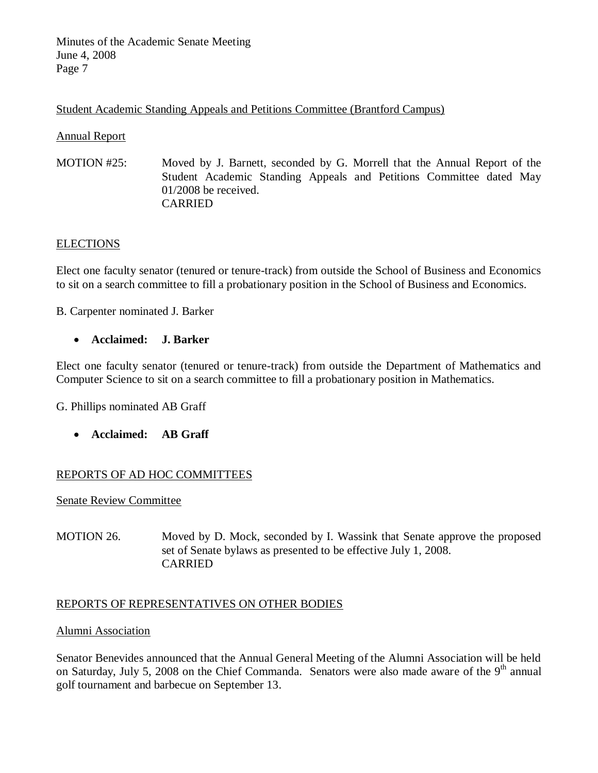Student Academic Standing Appeals and Petitions Committee (Brantford Campus)

### Annual Report

MOTION #25: Moved by J. Barnett, seconded by G. Morrell that the Annual Report of the Student Academic Standing Appeals and Petitions Committee dated May 01/2008 be received. CARRIED

### **ELECTIONS**

Elect one faculty senator (tenured or tenure-track) from outside the School of Business and Economics to sit on a search committee to fill a probationary position in the School of Business and Economics.

B. Carpenter nominated J. Barker

**Acclaimed: J. Barker**

Elect one faculty senator (tenured or tenure-track) from outside the Department of Mathematics and Computer Science to sit on a search committee to fill a probationary position in Mathematics.

G. Phillips nominated AB Graff

**Acclaimed: AB Graff**

## REPORTS OF AD HOC COMMITTEES

Senate Review Committee

MOTION 26. Moved by D. Mock, seconded by I. Wassink that Senate approve the proposed set of Senate bylaws as presented to be effective July 1, 2008. CARRIED

# REPORTS OF REPRESENTATIVES ON OTHER BODIES

### Alumni Association

Senator Benevides announced that the Annual General Meeting of the Alumni Association will be held on Saturday, July 5, 2008 on the Chief Commanda. Senators were also made aware of the  $9<sup>th</sup>$  annual golf tournament and barbecue on September 13.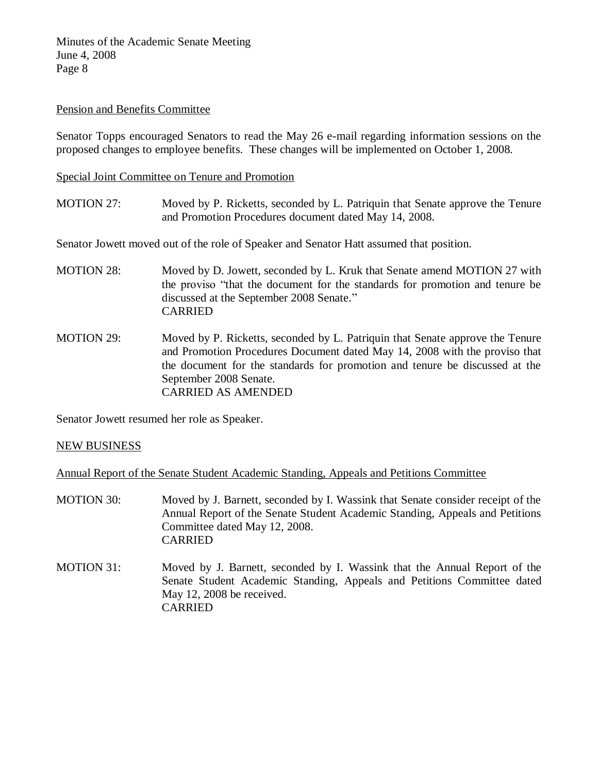### Pension and Benefits Committee

Senator Topps encouraged Senators to read the May 26 e-mail regarding information sessions on the proposed changes to employee benefits. These changes will be implemented on October 1, 2008.

Special Joint Committee on Tenure and Promotion

MOTION 27: Moved by P. Ricketts, seconded by L. Patriquin that Senate approve the Tenure and Promotion Procedures document dated May 14, 2008.

Senator Jowett moved out of the role of Speaker and Senator Hatt assumed that position.

- MOTION 28: Moved by D. Jowett, seconded by L. Kruk that Senate amend MOTION 27 with the proviso "that the document for the standards for promotion and tenure be discussed at the September 2008 Senate." CARRIED
- MOTION 29: Moved by P. Ricketts, seconded by L. Patriquin that Senate approve the Tenure and Promotion Procedures Document dated May 14, 2008 with the proviso that the document for the standards for promotion and tenure be discussed at the September 2008 Senate. CARRIED AS AMENDED

Senator Jowett resumed her role as Speaker.

#### NEW BUSINESS

Annual Report of the Senate Student Academic Standing, Appeals and Petitions Committee

- MOTION 30: Moved by J. Barnett, seconded by I. Wassink that Senate consider receipt of the Annual Report of the Senate Student Academic Standing, Appeals and Petitions Committee dated May 12, 2008. CARRIED
- MOTION 31: Moved by J. Barnett, seconded by I. Wassink that the Annual Report of the Senate Student Academic Standing, Appeals and Petitions Committee dated May 12, 2008 be received. CARRIED